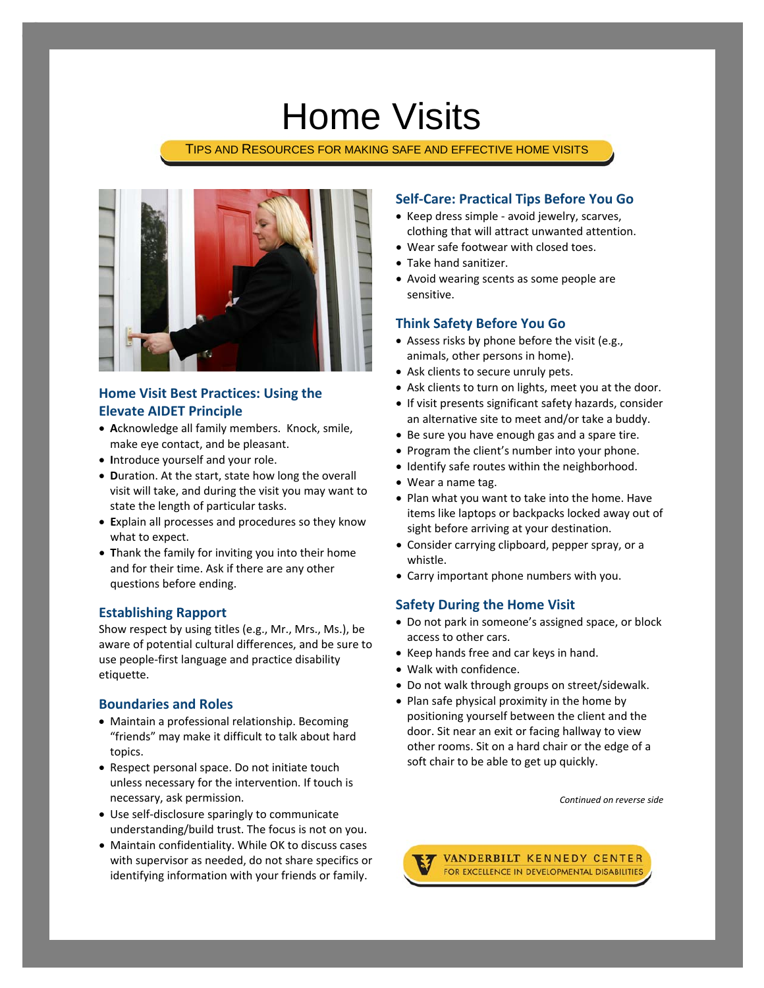# Home Visits

TIPS AND RESOURCES FOR MAKING SAFE AND EFFECTIVE HOME VISITS



## **Home Visit Best Practices: Using the Elevate AIDET Principle**

- **A**cknowledge all family members. Knock, smile, make eye contact, and be pleasant.
- **I**ntroduce yourself and your role.
- **D**uration. At the start, state how long the overall visit will take, and during the visit you may want to state the length of particular tasks.
- **E**xplain all processes and procedures so they know what to expect.
- **T**hank the family for inviting you into their home and for their time. Ask if there are any other questions before ending.

### **Establishing Rapport**

Show respect by using titles (e.g., Mr., Mrs., Ms.), be aware of potential cultural differences, and be sure to use people‐first language and practice disability etiquette.

#### **Boundaries and Roles**

- Maintain a professional relationship. Becoming "friends" may make it difficult to talk about hard topics.
- Respect personal space. Do not initiate touch unless necessary for the intervention. If touch is necessary, ask permission.
- Use self‐disclosure sparingly to communicate understanding/build trust. The focus is not on you.
- Maintain confidentiality. While OK to discuss cases with supervisor as needed, do not share specifics or identifying information with your friends or family.

### **Self‐Care: Practical Tips Before You Go**

- Keep dress simple ‐ avoid jewelry, scarves, clothing that will attract unwanted attention.
- Wear safe footwear with closed toes.
- Take hand sanitizer.
- Avoid wearing scents as some people are sensitive.

#### **Think Safety Before You Go**

- Assess risks by phone before the visit (e.g., animals, other persons in home).
- Ask clients to secure unruly pets.
- Ask clients to turn on lights, meet you at the door.
- If visit presents significant safety hazards, consider an alternative site to meet and/or take a buddy.
- Be sure you have enough gas and a spare tire.
- Program the client's number into your phone.
- Identify safe routes within the neighborhood.
- Wear a name tag.
- Plan what you want to take into the home. Have items like laptops or backpacks locked away out of sight before arriving at your destination.
- Consider carrying clipboard, pepper spray, or a whistle.
- Carry important phone numbers with you.

#### **Safety During the Home Visit**

- Do not park in someone's assigned space, or block access to other cars.
- Keep hands free and car keys in hand.
- Walk with confidence.
- Do not walk through groups on street/sidewalk.
- Plan safe physical proximity in the home by positioning yourself between the client and the door. Sit near an exit or facing hallway to view other rooms. Sit on a hard chair or the edge of a soft chair to be able to get up quickly.

*Continued on reverse side*